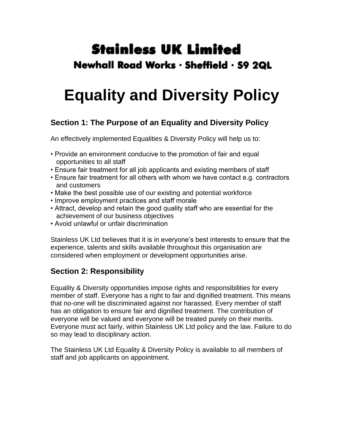# **Stainless UK Limited** Newhall Road Works · Sheffield · S9 2QL

# **Equality and Diversity Policy**

## **Section 1: The Purpose of an Equality and Diversity Policy**

An effectively implemented Equalities & Diversity Policy will help us to:

- Provide an environment conducive to the promotion of fair and equal opportunities to all staff
- Ensure fair treatment for all job applicants and existing members of staff
- Ensure fair treatment for all others with whom we have contact e.g. contractors and customers
- Make the best possible use of our existing and potential workforce
- Improve employment practices and staff morale
- Attract, develop and retain the good quality staff who are essential for the achievement of our business objectives
- Avoid unlawful or unfair discrimination

Stainless UK Ltd believes that it is in everyone's best interests to ensure that the experience, talents and skills available throughout this organisation are considered when employment or development opportunities arise.

### **Section 2: Responsibility**

Equality & Diversity opportunities impose rights and responsibilities for every member of staff. Everyone has a right to fair and dignified treatment. This means that no-one will be discriminated against nor harassed. Every member of staff has an obligation to ensure fair and dignified treatment. The contribution of everyone will be valued and everyone will be treated purely on their merits. Everyone must act fairly, within Stainless UK Ltd policy and the law. Failure to do so may lead to disciplinary action.

The Stainless UK Ltd Equality & Diversity Policy is available to all members of staff and job applicants on appointment.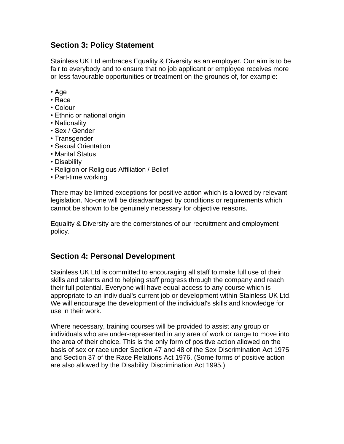#### **Section 3: Policy Statement**

Stainless UK Ltd embraces Equality & Diversity as an employer. Our aim is to be fair to everybody and to ensure that no job applicant or employee receives more or less favourable opportunities or treatment on the grounds of, for example:

- Age
- Race
- Colour
- Ethnic or national origin
- Nationality
- Sex / Gender
- Transgender
- Sexual Orientation
- Marital Status
- Disability
- Religion or Religious Affiliation / Belief
- Part-time working

There may be limited exceptions for positive action which is allowed by relevant legislation. No-one will be disadvantaged by conditions or requirements which cannot be shown to be genuinely necessary for objective reasons.

Equality & Diversity are the cornerstones of our recruitment and employment policy.

#### **Section 4: Personal Development**

Stainless UK Ltd is committed to encouraging all staff to make full use of their skills and talents and to helping staff progress through the company and reach their full potential. Everyone will have equal access to any course which is appropriate to an individual's current job or development within Stainless UK Ltd. We will encourage the development of the individual's skills and knowledge for use in their work.

Where necessary, training courses will be provided to assist any group or individuals who are under-represented in any area of work or range to move into the area of their choice. This is the only form of positive action allowed on the basis of sex or race under Section 47 and 48 of the Sex Discrimination Act 1975 and Section 37 of the Race Relations Act 1976. (Some forms of positive action are also allowed by the Disability Discrimination Act 1995.)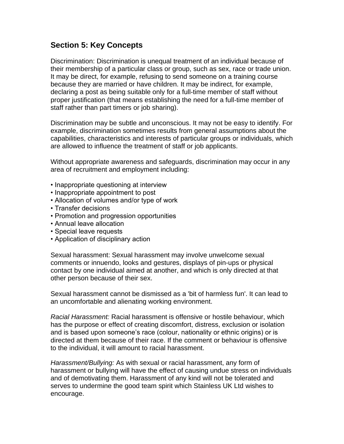#### **Section 5: Key Concepts**

Discrimination: Discrimination is unequal treatment of an individual because of their membership of a particular class or group, such as sex, race or trade union. It may be direct, for example, refusing to send someone on a training course because they are married or have children. It may be indirect, for example, declaring a post as being suitable only for a full-time member of staff without proper justification (that means establishing the need for a full-time member of staff rather than part timers or job sharing).

Discrimination may be subtle and unconscious. It may not be easy to identify. For example, discrimination sometimes results from general assumptions about the capabilities, characteristics and interests of particular groups or individuals, which are allowed to influence the treatment of staff or job applicants.

Without appropriate awareness and safeguards, discrimination may occur in any area of recruitment and employment including:

- Inappropriate questioning at interview
- Inappropriate appointment to post
- Allocation of volumes and/or type of work
- Transfer decisions
- Promotion and progression opportunities
- Annual leave allocation
- Special leave requests
- Application of disciplinary action

Sexual harassment: Sexual harassment may involve unwelcome sexual comments or innuendo, looks and gestures, displays of pin-ups or physical contact by one individual aimed at another, and which is only directed at that other person because of their sex.

Sexual harassment cannot be dismissed as a 'bit of harmless fun'. It can lead to an uncomfortable and alienating working environment.

*Racial Harassment:* Racial harassment is offensive or hostile behaviour, which has the purpose or effect of creating discomfort, distress, exclusion or isolation and is based upon someone's race (colour, nationality or ethnic origins) or is directed at them because of their race. If the comment or behaviour is offensive to the individual, it will amount to racial harassment.

*Harassment/Bullying:* As with sexual or racial harassment, any form of harassment or bullying will have the effect of causing undue stress on individuals and of demotivating them. Harassment of any kind will not be tolerated and serves to undermine the good team spirit which Stainless UK Ltd wishes to encourage.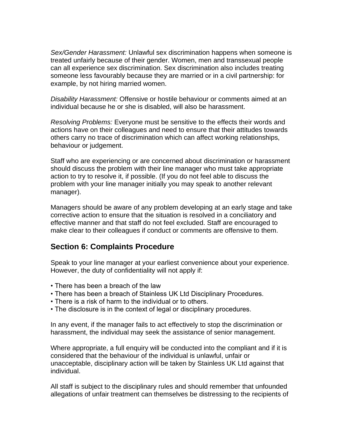*Sex/Gender Harassment:* Unlawful sex discrimination happens when someone is treated unfairly because of their gender. Women, men and transsexual people can all experience sex discrimination. Sex discrimination also includes treating someone less favourably because they are married or in a civil partnership: for example, by not hiring married women.

*Disability Harassment:* Offensive or hostile behaviour or comments aimed at an individual because he or she is disabled, will also be harassment.

*Resolving Problems:* Everyone must be sensitive to the effects their words and actions have on their colleagues and need to ensure that their attitudes towards others carry no trace of discrimination which can affect working relationships, behaviour or judgement.

Staff who are experiencing or are concerned about discrimination or harassment should discuss the problem with their line manager who must take appropriate action to try to resolve it, if possible. (If you do not feel able to discuss the problem with your line manager initially you may speak to another relevant manager).

Managers should be aware of any problem developing at an early stage and take corrective action to ensure that the situation is resolved in a conciliatory and effective manner and that staff do not feel excluded. Staff are encouraged to make clear to their colleagues if conduct or comments are offensive to them.

#### **Section 6: Complaints Procedure**

Speak to your line manager at your earliest convenience about your experience. However, the duty of confidentiality will not apply if:

- There has been a breach of the law
- There has been a breach of Stainless UK Ltd Disciplinary Procedures.
- There is a risk of harm to the individual or to others.
- The disclosure is in the context of legal or disciplinary procedures.

In any event, if the manager fails to act effectively to stop the discrimination or harassment, the individual may seek the assistance of senior management.

Where appropriate, a full enquiry will be conducted into the compliant and if it is considered that the behaviour of the individual is unlawful, unfair or unacceptable, disciplinary action will be taken by Stainless UK Ltd against that individual.

All staff is subject to the disciplinary rules and should remember that unfounded allegations of unfair treatment can themselves be distressing to the recipients of